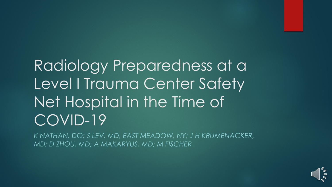# Radiology Preparedness at a Level I Trauma Center Safety Net Hospital in the Time of COVID-19

*K NATHAN, DO; S LEV, MD, EAST MEADOW, NY; J H KRUMENACKER, MD; D ZHOU, MD; A MAKARYUS, MD; M FISCHER*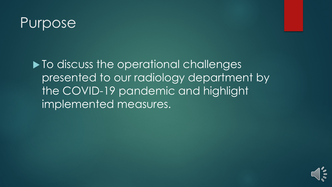#### Purpose

 $\blacktriangleright$  To discuss the operational challenges presented to our radiology department by the COVID-19 pandemic and highlight implemented measures.

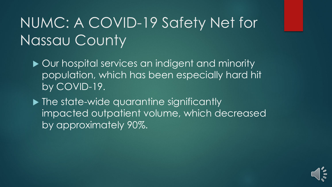## NUMC: A COVID-19 Safety Net for Nassau County

▶ Our hospital services an indigent and minority population, which has been especially hard hit by COVID-19.

▶ The state-wide quarantine significantly impacted outpatient volume, which decreased by approximately 90%.

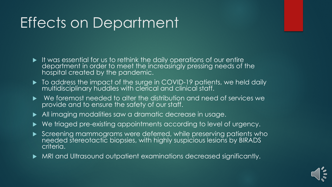### Effects on Department

- $\blacktriangleright$  It was essential for us to rethink the daily operations of our entire department in order to meet the increasingly pressing needs of the hospital created by the pandemic.
- $\triangleright$  To address the impact of the surge in COVID-19 patients, we held daily multidisciplinary huddles with clerical and clinical staff.
- We foremost needed to alter the distribution and need of services we provide and to ensure the safety of our staff.
- All imaging modalities saw a dramatic decrease in usage.
- ▶ We triaged pre-existing appointments according to level of urgency.
- Screening mammograms were deferred, while preserving patients who needed stereotactic biopsies, with highly suspicious lesions by BIRADS criteria.
- MRI and Ultrasound outpatient examinations decreased significantly.

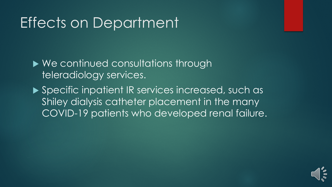#### Effects on Department

▶ We continued consultations through teleradiology services.

▶ Specific inpatient IR services increased, such as Shiley dialysis catheter placement in the many COVID-19 patients who developed renal failure.

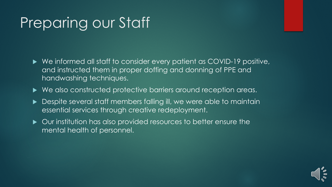#### Preparing our Staff

- ▶ We informed all staff to consider every patient as COVID-19 positive, and instructed them in proper doffing and donning of PPE and handwashing techniques.
- ▶ We also constructed protective barriers around reception areas.
- Despite several staff members falling ill, we were able to maintain essential services through creative redeployment.
- Our institution has also provided resources to better ensure the mental health of personnel.

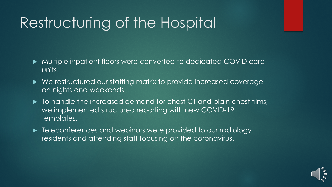### Restructuring of the Hospital

- Multiple inpatient floors were converted to dedicated COVID care units.
- We restructured our staffing matrix to provide increased coverage on nights and weekends.
- $\blacktriangleright$  To handle the increased demand for chest CT and plain chest films, we implemented structured reporting with new COVID-19 templates.
- Figure 1 Feleconferences and webinars were provided to our radiology residents and attending staff focusing on the coronavirus.

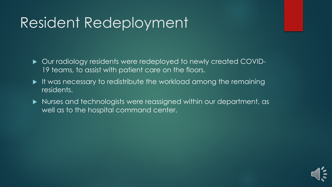#### Resident Redeployment

- Our radiology residents were redeployed to newly created COVID-19 teams, to assist with patient care on the floors.
- It was necessary to redistribute the workload among the remaining residents.
- Nurses and technologists were reassigned within our department, as well as to the hospital command center.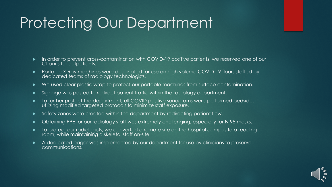#### Protecting Our Department

- In order to prevent cross-contamination with COVID-19 positive patients, we reserved one of our CT units for outpatients.
- Portable X-Ray machines were designated for use on high volume COVID-19 floors staffed by dedicated teams of radiology technologists.
- ▶ We used clear plastic wrap to protect our portable machines from surface contamination.
- Signage was posted to redirect patient traffic within the radiology department.
- $\blacktriangleright$  To further protect the department, all COVID positive sonograms were performed bedside, utilizing modified targeted protocols to minimize staff exposure.
- Safety zones were created within the department by redirecting patient flow.
- Obtaining PPE for our radiology staff was extremely challenging, especially for N-95 masks.
- To protect our radiologists, we converted a remote site on the hospital campus to a reading room, while maintaining a skeletal staff on-site.
- A dedicated pager was implemented by our department for use by clinicians to preserve communications.